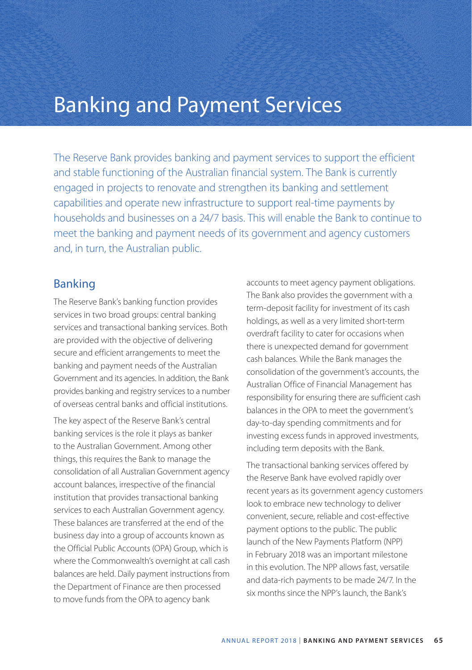## Banking and Payment Services

The Reserve Bank provides banking and payment services to support the efficient and stable functioning of the Australian financial system. The Bank is currently engaged in projects to renovate and strengthen its banking and settlement capabilities and operate new infrastructure to support real-time payments by households and businesses on a 24/7 basis. This will enable the Bank to continue to meet the banking and payment needs of its government and agency customers and, in turn, the Australian public.

### Banking

The Reserve Bank's banking function provides services in two broad groups: central banking services and transactional banking services. Both are provided with the objective of delivering secure and efficient arrangements to meet the banking and payment needs of the Australian Government and its agencies. In addition, the Bank provides banking and registry services to a number of overseas central banks and official institutions.

The key aspect of the Reserve Bank's central banking services is the role it plays as banker to the Australian Government. Among other things, this requires the Bank to manage the consolidation of all Australian Government agency account balances, irrespective of the financial institution that provides transactional banking services to each Australian Government agency. These balances are transferred at the end of the business day into a group of accounts known as the Official Public Accounts (OPA) Group, which is where the Commonwealth's overnight at call cash balances are held. Daily payment instructions from the Department of Finance are then processed to move funds from the OPA to agency bank

accounts to meet agency payment obligations. The Bank also provides the government with a term-deposit facility for investment of its cash holdings, as well as a very limited short-term overdraft facility to cater for occasions when there is unexpected demand for government cash balances. While the Bank manages the consolidation of the government's accounts, the Australian Office of Financial Management has responsibility for ensuring there are sufficient cash balances in the OPA to meet the government's day-to-day spending commitments and for investing excess funds in approved investments, including term deposits with the Bank.

The transactional banking services offered by the Reserve Bank have evolved rapidly over recent years as its government agency customers look to embrace new technology to deliver convenient, secure, reliable and cost-effective payment options to the public. The public launch of the New Payments Platform (NPP) in February 2018 was an important milestone in this evolution. The NPP allows fast, versatile and data-rich payments to be made 24/7. In the six months since the NPP's launch, the Bank's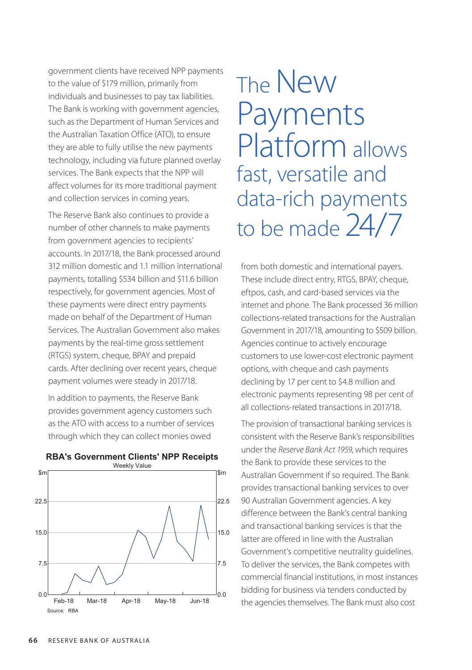government clients have received NPP payments to the value of \$179 million, primarily from individuals and businesses to pay tax liabilities. The Bank is working with government agencies, such as the Department of Human Services and the Australian Taxation Office (ATO), to ensure they are able to fully utilise the new payments technology, including via future planned overlay services. The Bank expects that the NPP will affect volumes for its more traditional payment and collection services in coming years.

The Reserve Bank also continues to provide a number of other channels to make payments from government agencies to recipients' accounts. In 2017/18, the Bank processed around 312 million domestic and 1.1 million international payments, totalling \$534 billion and \$11.6 billion respectively, for government agencies. Most of these payments were direct entry payments made on behalf of the Department of Human Services. The Australian Government also makes payments by the real-time gross settlement (RTGS) system, cheque, BPAY and prepaid cards. After declining over recent years, cheque payment volumes were steady in 2017/18.

In addition to payments, the Reserve Bank provides government agency customers such as the ATO with access to a number of services through which they can collect monies owed



### **RBA's Government Clients' NPP Receipts**

# The New Payments Platform allows fast, versatile and data-rich payments to be made 24/7

from both domestic and international payers. These include direct entry, RTGS, BPAY, cheque, eftpos, cash, and card-based services via the internet and phone. The Bank processed 36 million collections-related transactions for the Australian Government in 2017/18, amounting to \$509 billion. Agencies continue to actively encourage customers to use lower-cost electronic payment options, with cheque and cash payments declining by 17 per cent to \$4.8 million and electronic payments representing 98 per cent of all collections-related transactions in 2017/18.

The provision of transactional banking services is consistent with the Reserve Bank's responsibilities under the *Reserve Bank Act 1959*, which requires the Bank to provide these services to the Australian Government if so required. The Bank provides transactional banking services to over 90 Australian Government agencies. A key difference between the Bank's central banking and transactional banking services is that the latter are offered in line with the Australian Government's competitive neutrality guidelines. To deliver the services, the Bank competes with commercial financial institutions, in most instances bidding for business via tenders conducted by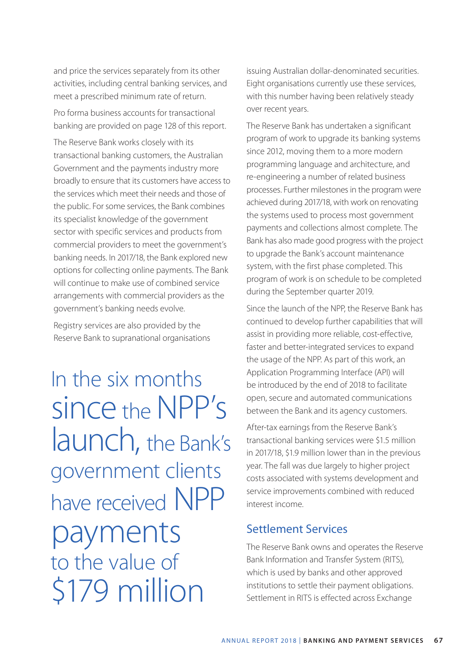and price the services separately from its other activities, including central banking services, and meet a prescribed minimum rate of return.

Pro forma business accounts for transactional banking are provided on page 128 of this report.

The Reserve Bank works closely with its transactional banking customers, the Australian Government and the payments industry more broadly to ensure that its customers have access to the services which meet their needs and those of the public. For some services, the Bank combines its specialist knowledge of the government sector with specific services and products from commercial providers to meet the government's banking needs. In 2017/18, the Bank explored new options for collecting online payments. The Bank will continue to make use of combined service arrangements with commercial providers as the government's banking needs evolve.

Registry services are also provided by the Reserve Bank to supranational organisations

In the six months since the NPP's launch, the Bank's government clients have received NPP payments to the value of \$179 million

issuing Australian dollar-denominated securities. Eight organisations currently use these services, with this number having been relatively steady over recent years.

The Reserve Bank has undertaken a significant program of work to upgrade its banking systems since 2012, moving them to a more modern programming language and architecture, and re-engineering a number of related business processes. Further milestones in the program were achieved during 2017/18, with work on renovating the systems used to process most government payments and collections almost complete. The Bank has also made good progress with the project to upgrade the Bank's account maintenance system, with the first phase completed. This program of work is on schedule to be completed during the September quarter 2019.

Since the launch of the NPP, the Reserve Bank has continued to develop further capabilities that will assist in providing more reliable, cost-effective, faster and better-integrated services to expand the usage of the NPP. As part of this work, an Application Programming Interface (API) will be introduced by the end of 2018 to facilitate open, secure and automated communications between the Bank and its agency customers.

After-tax earnings from the Reserve Bank's transactional banking services were \$1.5 million in 2017/18, \$1.9 million lower than in the previous year. The fall was due largely to higher project costs associated with systems development and service improvements combined with reduced interest income.

### Settlement Services

The Reserve Bank owns and operates the Reserve Bank Information and Transfer System (RITS), which is used by banks and other approved institutions to settle their payment obligations. Settlement in RITS is effected across Exchange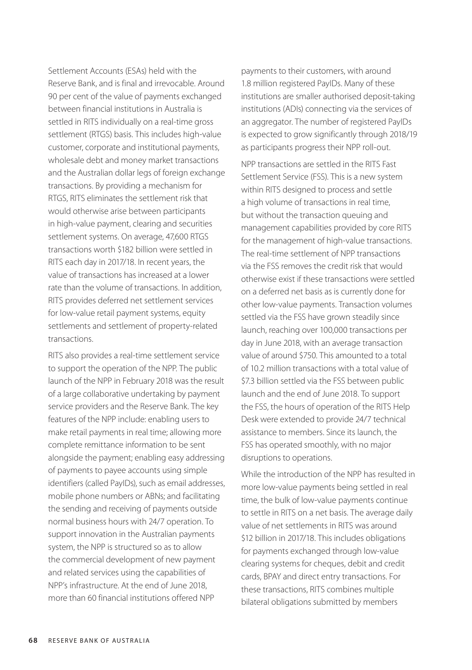Settlement Accounts (ESAs) held with the Reserve Bank, and is final and irrevocable. Around 90 per cent of the value of payments exchanged between financial institutions in Australia is settled in RITS individually on a real-time gross settlement (RTGS) basis. This includes high-value customer, corporate and institutional payments, wholesale debt and money market transactions and the Australian dollar legs of foreign exchange transactions. By providing a mechanism for RTGS, RITS eliminates the settlement risk that would otherwise arise between participants in high-value payment, clearing and securities settlement systems. On average, 47,600 RTGS transactions worth \$182 billion were settled in RITS each day in 2017/18. In recent years, the value of transactions has increased at a lower rate than the volume of transactions. In addition, RITS provides deferred net settlement services for low-value retail payment systems, equity settlements and settlement of property-related transactions.

RITS also provides a real-time settlement service to support the operation of the NPP. The public launch of the NPP in February 2018 was the result of a large collaborative undertaking by payment service providers and the Reserve Bank. The key features of the NPP include: enabling users to make retail payments in real time; allowing more complete remittance information to be sent alongside the payment; enabling easy addressing of payments to payee accounts using simple identifiers (called PayIDs), such as email addresses, mobile phone numbers or ABNs; and facilitating the sending and receiving of payments outside normal business hours with 24/7 operation. To support innovation in the Australian payments system, the NPP is structured so as to allow the commercial development of new payment and related services using the capabilities of NPP's infrastructure. At the end of June 2018, more than 60 financial institutions offered NPP

payments to their customers, with around 1.8 million registered PayIDs. Many of these institutions are smaller authorised deposit-taking institutions (ADIs) connecting via the services of an aggregator. The number of registered PayIDs is expected to grow significantly through 2018/19 as participants progress their NPP roll-out.

NPP transactions are settled in the RITS Fast Settlement Service (FSS). This is a new system within RITS designed to process and settle a high volume of transactions in real time, but without the transaction queuing and management capabilities provided by core RITS for the management of high-value transactions. The real-time settlement of NPP transactions via the FSS removes the credit risk that would otherwise exist if these transactions were settled on a deferred net basis as is currently done for other low-value payments. Transaction volumes settled via the FSS have grown steadily since launch, reaching over 100,000 transactions per day in June 2018, with an average transaction value of around \$750. This amounted to a total of 10.2 million transactions with a total value of \$7.3 billion settled via the FSS between public launch and the end of June 2018. To support the FSS, the hours of operation of the RITS Help Desk were extended to provide 24/7 technical assistance to members. Since its launch, the FSS has operated smoothly, with no major disruptions to operations.

While the introduction of the NPP has resulted in more low-value payments being settled in real time, the bulk of low-value payments continue to settle in RITS on a net basis. The average daily value of net settlements in RITS was around \$12 billion in 2017/18. This includes obligations for payments exchanged through low-value clearing systems for cheques, debit and credit cards, BPAY and direct entry transactions. For these transactions, RITS combines multiple bilateral obligations submitted by members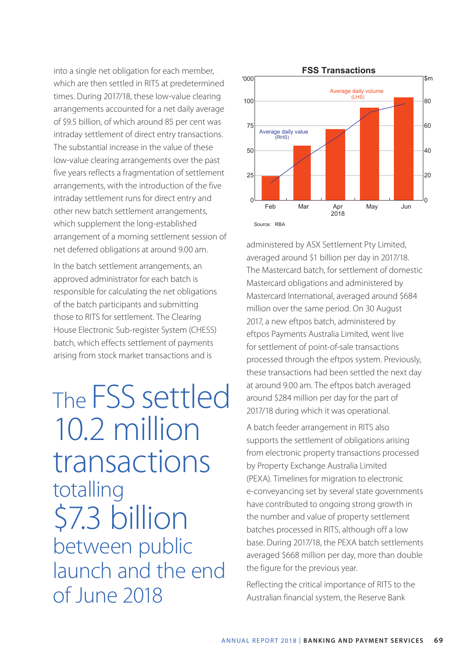into a single net obligation for each member, which are then settled in RITS at predetermined times. During 2017/18, these low-value clearing arrangements accounted for a net daily average of \$9.5 billion, of which around 85 per cent was intraday settlement of direct entry transactions. The substantial increase in the value of these low-value clearing arrangements over the past five years reflects a fragmentation of settlement arrangements, with the introduction of the five intraday settlement runs for direct entry and other new batch settlement arrangements, which supplement the long-established arrangement of a morning settlement session of net deferred obligations at around 9.00 am.

In the batch settlement arrangements, an approved administrator for each batch is responsible for calculating the net obligations of the batch participants and submitting those to RITS for settlement. The Clearing House Electronic Sub-register System (CHESS) batch, which effects settlement of payments arising from stock market transactions and is

The FSS settled 10.2 million transactions totalling \$7.3 billion between public launch and the end of June 2018



administered by ASX Settlement Pty Limited, averaged around \$1 billion per day in 2017/18. The Mastercard batch, for settlement of domestic Mastercard obligations and administered by Mastercard International, averaged around \$684 million over the same period. On 30 August 2017, a new eftpos batch, administered by eftpos Payments Australia Limited, went live for settlement of point-of-sale transactions processed through the eftpos system. Previously, these transactions had been settled the next day at around 9.00 am. The eftpos batch averaged around \$284 million per day for the part of 2017/18 during which it was operational.

A batch feeder arrangement in RITS also supports the settlement of obligations arising from electronic property transactions processed by Property Exchange Australia Limited (PEXA). Timelines for migration to electronic e-conveyancing set by several state governments have contributed to ongoing strong growth in the number and value of property settlement batches processed in RITS, although off a low base. During 2017/18, the PEXA batch settlements averaged \$668 million per day, more than double the figure for the previous year.

Reflecting the critical importance of RITS to the Australian financial system, the Reserve Bank